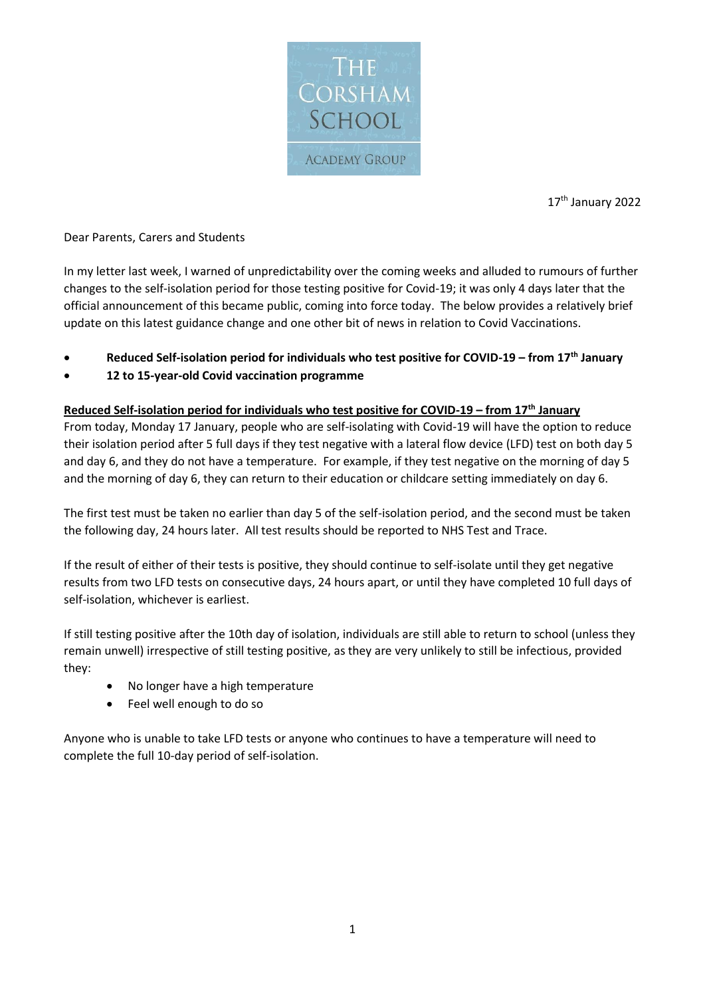

17<sup>th</sup> January 2022

## Dear Parents, Carers and Students

In my letter last week, I warned of unpredictability over the coming weeks and alluded to rumours of further changes to the self-isolation period for those testing positive for Covid-19; it was only 4 days later that the official announcement of this became public, coming into force today. The below provides a relatively brief update on this latest guidance change and one other bit of news in relation to Covid Vaccinations.

- **Reduced Self-isolation period for individuals who test positive for COVID-19 – from 17th January**
- **12 to 15-year-old Covid vaccination programme**

## **Reduced Self-isolation period for individuals who test positive for COVID-19 – from 17th January**

From today, Monday 17 January, people who are self-isolating with Covid-19 will have the option to reduce their isolation period after 5 full days if they test negative with a lateral flow device (LFD) test on both day 5 and day 6, and they do not have a temperature. For example, if they test negative on the morning of day 5 and the morning of day 6, they can return to their education or childcare setting immediately on day 6.

The first test must be taken no earlier than day 5 of the self-isolation period, and the second must be taken the following day, 24 hours later. All test results should be reported to NHS Test and Trace.

If the result of either of their tests is positive, they should continue to self-isolate until they get negative results from two LFD tests on consecutive days, 24 hours apart, or until they have completed 10 full days of self-isolation, whichever is earliest.

If still testing positive after the 10th day of isolation, individuals are still able to return to school (unless they remain unwell) irrespective of still testing positive, as they are very unlikely to still be infectious, provided they:

- No longer have a high temperature
- Feel well enough to do so

Anyone who is unable to take LFD tests or anyone who continues to have a temperature will need to complete the full 10-day period of self-isolation.